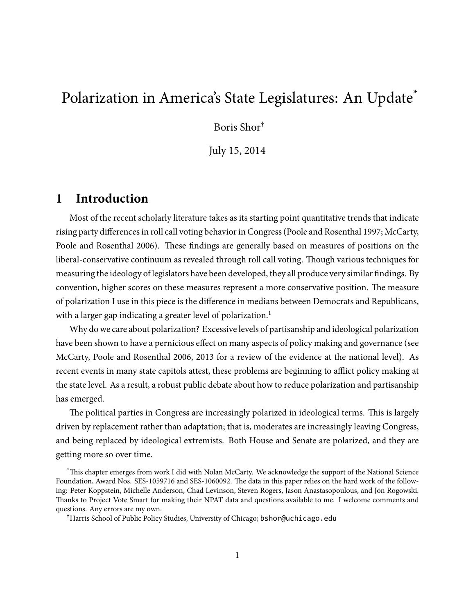# Polarization in America's State Legislatures: An Update<sup>\*</sup>

Boris Shor†

July 15, 2014

### **1 Introduction**

Most of the recent scholarly literature takes as its starting point quantitative trends that indicate rising party differences in roll call voting behavior in Congress [\(Poole and Rosenthal](#page-18-0) [1997](#page-18-0); [McCarty,](#page-17-0) [Poole and Rosenthal](#page-17-0) [2006\)](#page-17-0). These findings are generally based on measures of positions on the liberal-conservative continuum as revealed through roll call voting. Though various techniques for measuring the ideology of legislators have been developed, they all produce very similar findings. By convention, higher scores on these measures represent a more conservative position. The measure of polarization I use in this piece is the difference in medians between Democrats and Republicans, with a larger gap indicating a greater level of polarization.<sup>1</sup>

Why do we care about polarization? Excessive levels of partisanship and ideological polarization have been shown to have a pernicious effect on many aspects of policy making and governance (see [McCarty, Poole and Rosenthal](#page-17-0) [2006](#page-17-0), [2013](#page-18-1) for a review of the evidence at the national level). As recent events in many state capitols attest, these problems are beginning to afflict policy making at the state level. As a result, a robust public debate about how to reduce polarization and partisanship has emerged.

The political parties in Congress are increasingly polarized in ideological terms. This is largely driven by replacement rather than adaptation; that is, moderates are increasingly leaving Congress, and being replaced by ideological extremists. Both House and Senate are polarized, and they are getting more so over time.

This chapter emerges from work I did with Nolan McCarty. We acknowledge the support of the National Science Foundation, Award Nos. SES-1059716 and SES-1060092. The data in this paper relies on the hard work of the following: Peter Koppstein, Michelle Anderson, Chad Levinson, Steven Rogers, Jason Anastasopoulous, and Jon Rogowski. Thanks to Project Vote Smart for making their NPAT data and questions available to me. I welcome comments and questions. Any errors are my own.

<sup>†</sup>Harris School of Public Policy Studies, University of Chicago; bshor@uchicago.edu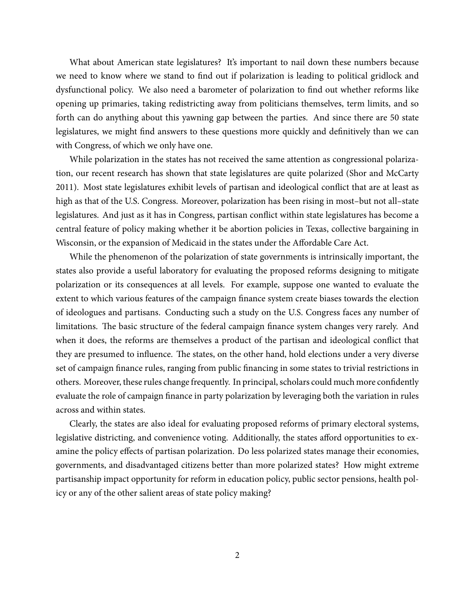What about American state legislatures? It's important to nail down these numbers because we need to know where we stand to find out if polarization is leading to political gridlock and dysfunctional policy. We also need a barometer of polarization to find out whether reforms like opening up primaries, taking redistricting away from politicians themselves, term limits, and so forth can do anything about this yawning gap between the parties. And since there are 50 state legislatures, we might find answers to these questions more quickly and definitively than we can with Congress, of which we only have one.

While polarization in the states has not received the same attention as congressional polarization, our recent research has shown that state legislatures are quite polarized [\(Shor and McCarty](#page-18-2) [2011\)](#page-18-2). Most state legislatures exhibit levels of partisan and ideological conflict that are at least as high as that of the U.S. Congress. Moreover, polarization has been rising in most–but not all–state legislatures. And just as it has in Congress, partisan conflict within state legislatures has become a central feature of policy making whether it be abortion policies in Texas, collective bargaining in Wisconsin, or the expansion of Medicaid in the states under the Affordable Care Act.

While the phenomenon of the polarization of state governments is intrinsically important, the states also provide a useful laboratory for evaluating the proposed reforms designing to mitigate polarization or its consequences at all levels. For example, suppose one wanted to evaluate the extent to which various features of the campaign finance system create biases towards the election of ideologues and partisans. Conducting such a study on the U.S. Congress faces any number of limitations. The basic structure of the federal campaign finance system changes very rarely. And when it does, the reforms are themselves a product of the partisan and ideological conflict that they are presumed to influence. The states, on the other hand, hold elections under a very diverse set of campaign finance rules, ranging from public financing in some states to trivial restrictions in others. Moreover, these rules change frequently. In principal, scholars could much more confidently evaluate the role of campaign finance in party polarization by leveraging both the variation in rules across and within states.

Clearly, the states are also ideal for evaluating proposed reforms of primary electoral systems, legislative districting, and convenience voting. Additionally, the states afford opportunities to examine the policy effects of partisan polarization. Do less polarized states manage their economies, governments, and disadvantaged citizens better than more polarized states? How might extreme partisanship impact opportunity for reform in education policy, public sector pensions, health policy or any of the other salient areas of state policy making?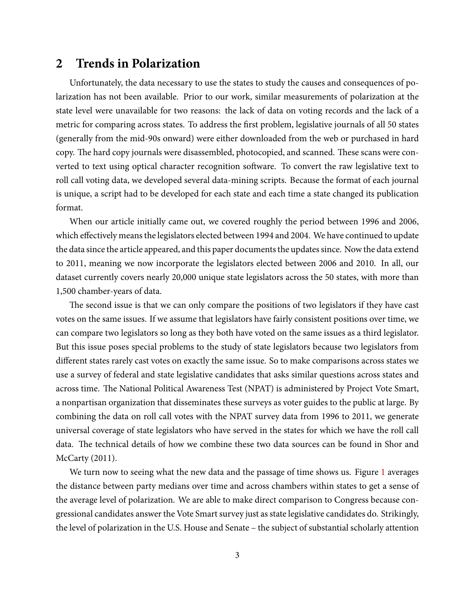### **2 Trends in Polarization**

Unfortunately, the data necessary to use the states to study the causes and consequences of polarization has not been available. Prior to our work, similar measurements of polarization at the state level were unavailable for two reasons: the lack of data on voting records and the lack of a metric for comparing across states. To address the first problem, legislative journals of all 50 states (generally from the mid-90s onward) were either downloaded from the web or purchased in hard copy. The hard copy journals were disassembled, photocopied, and scanned. These scans were converted to text using optical character recognition software. To convert the raw legislative text to roll call voting data, we developed several data-mining scripts. Because the format of each journal is unique, a script had to be developed for each state and each time a state changed its publication format.

When our article initially came out, we covered roughly the period between 1996 and 2006, which effectively means the legislators elected between 1994 and 2004. We have continued to update the data since the article appeared, and this paper documents the updates since. Now the data extend to 2011, meaning we now incorporate the legislators elected between 2006 and 2010. In all, our dataset currently covers nearly 20,000 unique state legislators across the 50 states, with more than 1,500 chamber-years of data.

The second issue is that we can only compare the positions of two legislators if they have cast votes on the same issues. If we assume that legislators have fairly consistent positions over time, we can compare two legislators so long as they both have voted on the same issues as a third legislator. But this issue poses special problems to the study of state legislators because two legislators from different states rarely cast votes on exactly the same issue. So to make comparisons across states we use a survey of federal and state legislative candidates that asks similar questions across states and across time. The National Political Awareness Test (NPAT) is administered by Project Vote Smart, a nonpartisan organization that disseminates these surveys as voter guides to the public at large. By combining the data on roll call votes with the NPAT survey data from 1996 to 2011, we generate universal coverage of state legislators who have served in the states for which we have the roll call data. The technical details of how we combine these two data sources can be found in [Shor and](#page-18-2) [McCarty](#page-18-2) [\(2011](#page-18-2)).

We turn now to seeing what the new data and the passage of time shows us. Figure [1](#page-3-0) averages the distance between party medians over time and across chambers within states to get a sense of the average level of polarization. We are able to make direct comparison to Congress because congressional candidates answer the Vote Smart survey just as state legislative candidates do. Strikingly, the level of polarization in the U.S. House and Senate – the subject of substantial scholarly attention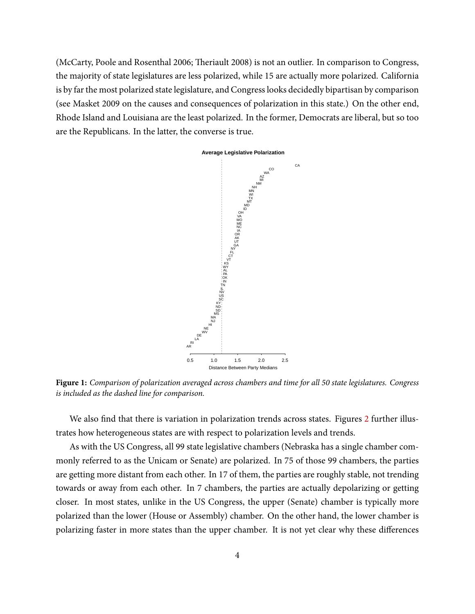<span id="page-3-0"></span>[\(McCarty, Poole and Rosenthal](#page-17-0) [2006](#page-17-0); Th[eriault](#page-18-3) [2008\)](#page-18-3) is not an outlier. In comparison to Congress, the majority of state legislatures are less polarized, while 15 are actually more polarized. California is by far the most polarized state legislature, and Congress looks decidedly bipartisan by comparison (see [Masket](#page-17-1) [2009](#page-17-1) on the causes and consequences of polarization in this state.) On the other end, Rhode Island and Louisiana are the least polarized. In the former, Democrats are liberal, but so too are the Republicans. In the latter, the converse is true.



**Figure 1:** *Comparison of polarization averaged across chambers and time for all 50 state legislatures. Congress is included as the dashed line for comparison.*

We also find that there is variation in polarization trends across states. Figures [2](#page-5-0) further illustrates how heterogeneous states are with respect to polarization levels and trends.

As with the US Congress, all 99 state legislative chambers (Nebraska has a single chamber commonly referred to as the Unicam or Senate) are polarized. In 75 of those 99 chambers, the parties are getting more distant from each other. In 17 of them, the parties are roughly stable, not trending towards or away from each other. In 7 chambers, the parties are actually depolarizing or getting closer. In most states, unlike in the US Congress, the upper (Senate) chamber is typically more polarized than the lower (House or Assembly) chamber. On the other hand, the lower chamber is polarizing faster in more states than the upper chamber. It is not yet clear why these differences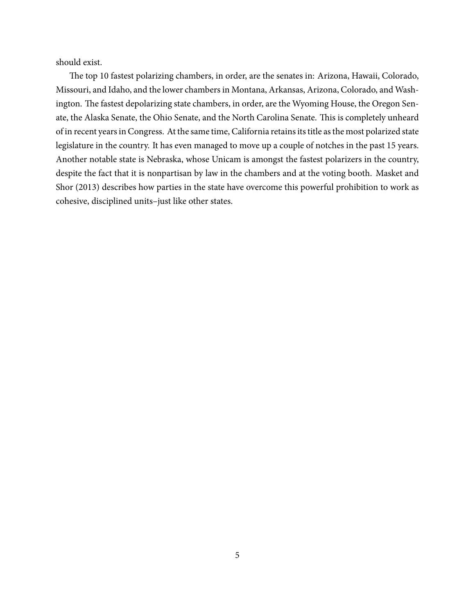should exist.

The top 10 fastest polarizing chambers, in order, are the senates in: Arizona, Hawaii, Colorado, Missouri, and Idaho, and the lower chambers in Montana, Arkansas, Arizona, Colorado, and Washington. The fastest depolarizing state chambers, in order, are the Wyoming House, the Oregon Senate, the Alaska Senate, the Ohio Senate, and the North Carolina Senate. This is completely unheard of in recent years in Congress. At the same time, California retains its title as the most polarized state legislature in the country. It has even managed to move up a couple of notches in the past 15 years. Another notable state is Nebraska, whose Unicam is amongst the fastest polarizers in the country, despite the fact that it is nonpartisan by law in the chambers and at the voting booth. [Masket and](#page-17-2) [Shor](#page-17-2) [\(2013](#page-17-2)) describes how parties in the state have overcome this powerful prohibition to work as cohesive, disciplined units–just like other states.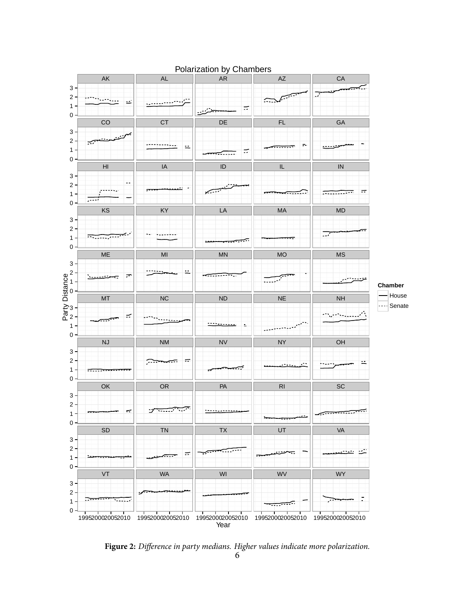<span id="page-5-0"></span>

#### Polarization by Chambers

**Figure 2:** *Difference in party medians. Higher values indicate more polarization.*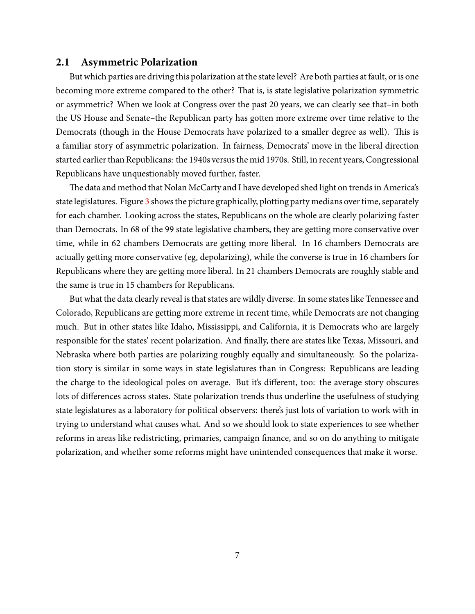#### **2.1 Asymmetric Polarization**

But which parties are driving this polarization at the state level? Are both parties at fault, or is one becoming more extreme compared to the other? That is, is state legislative polarization symmetric or asymmetric? When we look at Congress over the past 20 years, we can clearly see that–in both the US House and Senate–the Republican party has gotten more extreme over time relative to the Democrats (though in the House Democrats have polarized to a smaller degree as well). This is a familiar story of asymmetric polarization. In fairness, Democrats' move in the liberal direction started earlier than Republicans: the 1940s versus the mid 1970s. Still, in recent years, Congressional Republicans have unquestionably moved further, faster.

The data and method that Nolan McCarty and I have developed shed light on trends in America's state legislatures. Figure [3](#page-7-0) shows the picture graphically, plotting party medians over time, separately for each chamber. Looking across the states, Republicans on the whole are clearly polarizing faster than Democrats. In 68 of the 99 state legislative chambers, they are getting more conservative over time, while in 62 chambers Democrats are getting more liberal. In 16 chambers Democrats are actually getting more conservative (eg, depolarizing), while the converse is true in 16 chambers for Republicans where they are getting more liberal. In 21 chambers Democrats are roughly stable and the same is true in 15 chambers for Republicans.

But what the data clearly reveal is that states are wildly diverse. In some states like Tennessee and Colorado, Republicans are getting more extreme in recent time, while Democrats are not changing much. But in other states like Idaho, Mississippi, and California, it is Democrats who are largely responsible for the states' recent polarization. And finally, there are states like Texas, Missouri, and Nebraska where both parties are polarizing roughly equally and simultaneously. So the polarization story is similar in some ways in state legislatures than in Congress: Republicans are leading the charge to the ideological poles on average. But it's different, too: the average story obscures lots of differences across states. State polarization trends thus underline the usefulness of studying state legislatures as a laboratory for political observers: there's just lots of variation to work with in trying to understand what causes what. And so we should look to state experiences to see whether reforms in areas like redistricting, primaries, campaign finance, and so on do anything to mitigate polarization, and whether some reforms might have unintended consequences that make it worse.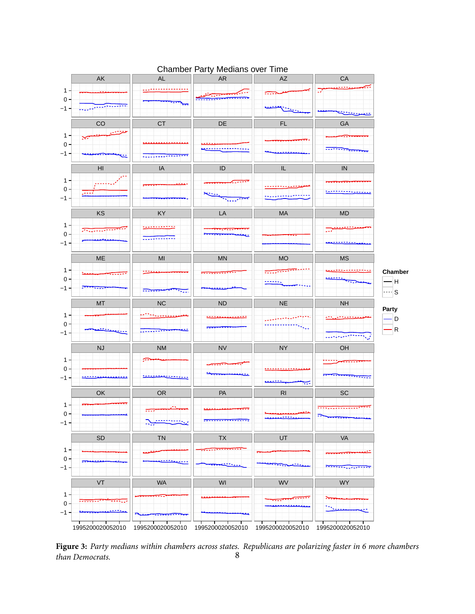<span id="page-7-0"></span>

#### Chamber Party Medians over Time

**Figure 3:** *Party medians within chambers across states. Republicans are polarizing faster in 6 more chambers*  $than$  Democrats.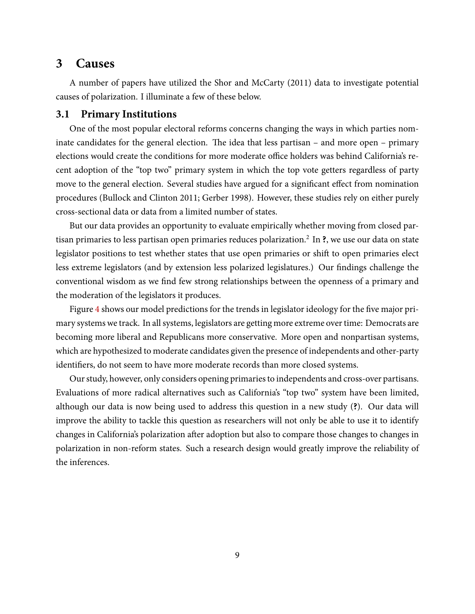### **3 Causes**

A number of papers have utilized the [Shor and McCarty](#page-18-2) ([2011\)](#page-18-2) data to investigate potential causes of polarization. I illuminate a few of these below.

#### **3.1 Primary Institutions**

One of the most popular electoral reforms concerns changing the ways in which parties nominate candidates for the general election. The idea that less partisan – and more open – primary elections would create the conditions for more moderate office holders was behind California's recent adoption of the "top two" primary system in which the top vote getters regardless of party move to the general election. Several studies have argued for a significant effect from nomination procedures [\(Bullock and Clinton](#page-17-3) [2011;](#page-17-3) [Gerber](#page-17-4) [1998](#page-17-4)). However, these studies rely on either purely cross-sectional data or data from a limited number of states.

But our data provides an opportunity to evaluate empirically whether moving from closed partisan primaries to less partisan open primaries reduces polarization.<sup>2</sup> In **?**, we use our data on state legislator positions to test whether states that use open primaries or shift to open primaries elect less extreme legislators (and by extension less polarized legislatures.) Our findings challenge the conventional wisdom as we find few strong relationships between the openness of a primary and the moderation of the legislators it produces.

Figure [4](#page-9-0) shows our model predictions for the trends in legislator ideology for the five major primary systems we track. In all systems, legislators are getting more extreme over time: Democrats are becoming more liberal and Republicans more conservative. More open and nonpartisan systems, which are hypothesized to moderate candidates given the presence of independents and other-party identifiers, do not seem to have more moderate records than more closed systems.

Our study, however, only considers opening primaries to independents and cross-over partisans. Evaluations of more radical alternatives such as California's "top two" system have been limited, although our data is now being used to address this question in a new study (**?**). Our data will improve the ability to tackle this question as researchers will not only be able to use it to identify changes in California's polarization after adoption but also to compare those changes to changes in polarization in non-reform states. Such a research design would greatly improve the reliability of the inferences.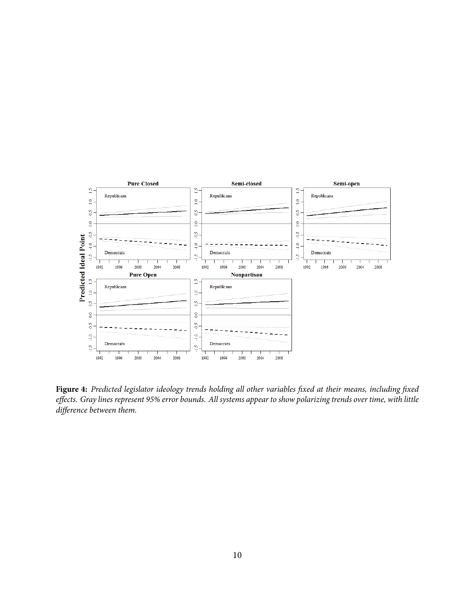<span id="page-9-0"></span>

Figure 4: Predicted legislator ideology trends holding all other variables fixed at their means, including fixed *effects. Gray lines represent 95% error bounds. All systems appear to show polarizing trends over time, with little difference between them.*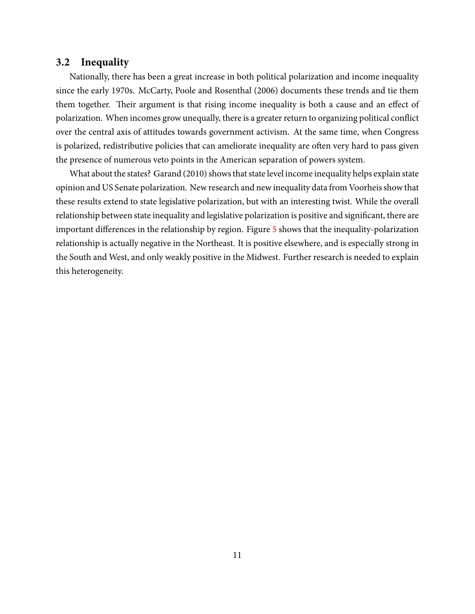#### **3.2 Inequality**

Nationally, there has been a great increase in both political polarization and income inequality since the early 1970s. [McCarty, Poole and Rosenthal](#page-17-0) ([2006](#page-17-0)) documents these trends and tie them them together. Their argument is that rising income inequality is both a cause and an effect of polarization. When incomes grow unequally, there is a greater return to organizing political conflict over the central axis of attitudes towards government activism. At the same time, when Congress is polarized, redistributive policies that can ameliorate inequality are often very hard to pass given the presence of numerous veto points in the American separation of powers system.

What about the states? [Garand](#page-17-5) ([2010\)](#page-17-5) shows that state level income inequality helps explain state opinion and US Senate polarization. New research and new inequality data from Voorheis show that these results extend to state legislative polarization, but with an interesting twist. While the overall relationship between state inequality and legislative polarization is positive and significant, there are important differences in the relationship by region. Figure [5](#page-11-0) shows that the inequality-polarization relationship is actually negative in the Northeast. It is positive elsewhere, and is especially strong in the South and West, and only weakly positive in the Midwest. Further research is needed to explain this heterogeneity.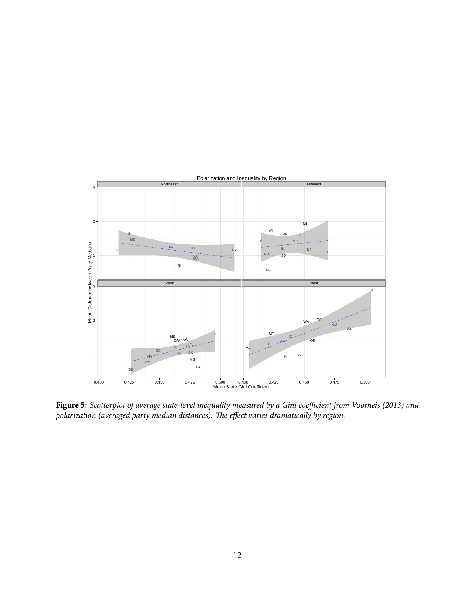<span id="page-11-0"></span>

**Figure 5:** *Scatterplot of average state-level inequality measured by a Gini coefficient from Voorheis (2013) and* polarization (averaged party median distances). The effect varies dramatically by region.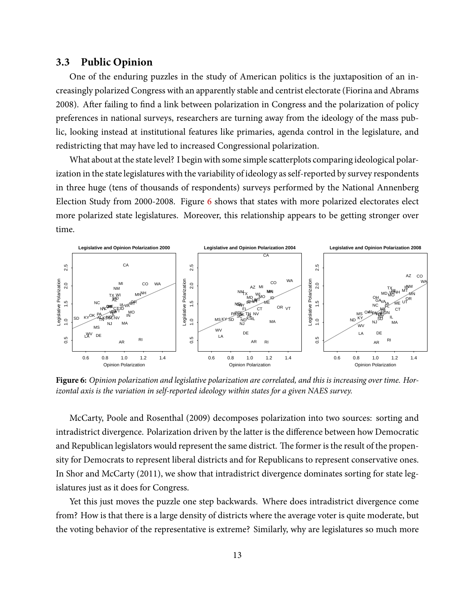#### **3.3 Public Opinion**

One of the enduring puzzles in the study of American politics is the juxtaposition of an increasingly polarized Congress with an apparently stable and centrist electorate [\(Fiorina and Abrams](#page-17-6) [2008\)](#page-17-6). After failing to find a link between polarization in Congress and the polarization of policy preferences in national surveys, researchers are turning away from the ideology of the mass public, looking instead at institutional features like primaries, agenda control in the legislature, and redistricting that may have led to increased Congressional polarization.

What about at the state level? I begin with some simple scatterplots comparing ideological polarization in the state legislatures with the variability of ideology as self-reported by survey respondents in three huge (tens of thousands of respondents) surveys performed by the National Annenberg Election Study from 2000-2008. Figure [6](#page-12-0) shows that states with more polarized electorates elect more polarized state legislatures. Moreover, this relationship appears to be getting stronger over time.

<span id="page-12-0"></span>

**Figure 6:** *Opinion polarization and legislative polarization are correlated, and this is increasing over time. Horizontal axis is the variation in self-reported ideology within states for a given NAES survey.*

[McCarty, Poole and Rosenthal](#page-17-7) [\(2009](#page-17-7)) decomposes polarization into two sources: sorting and intradistrict divergence. Polarization driven by the latter is the difference between how Democratic and Republican legislators would represent the same district. The former is the result of the propensity for Democrats to represent liberal districts and for Republicans to represent conservative ones. In [Shor and McCarty](#page-18-2) [\(2011](#page-18-2)), we show that intradistrict divergence dominates sorting for state legislatures just as it does for Congress.

Yet this just moves the puzzle one step backwards. Where does intradistrict divergence come from? How is that there is a large density of districts where the average voter is quite moderate, but the voting behavior of the representative is extreme? Similarly, why are legislatures so much more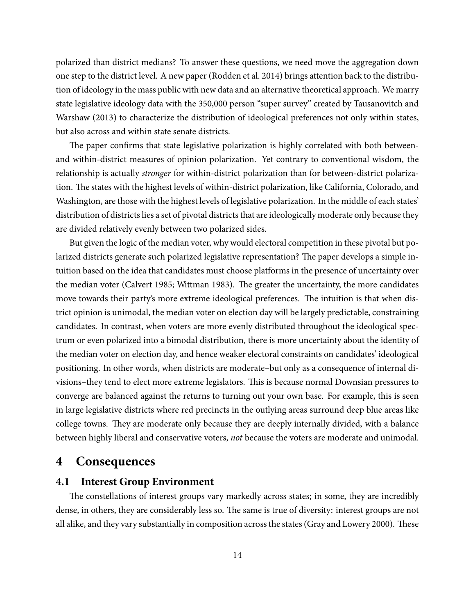polarized than district medians? To answer these questions, we need move the aggregation down one step to the district level. A new paper [\(Rodden et al.](#page-18-4) [2014](#page-18-4)) brings attention back to the distribution of ideology in the mass public with new data and an alternative theoretical approach. We marry state legislative ideology data with the 350,000 person "super survey" created by [Tausanovitch and](#page-18-5) [Warshaw](#page-18-5) [\(2013](#page-18-5)) to characterize the distribution of ideological preferences not only within states, but also across and within state senate districts.

The paper confirms that state legislative polarization is highly correlated with both betweenand within-district measures of opinion polarization. Yet contrary to conventional wisdom, the relationship is actually *stronger* for within-district polarization than for between-district polarization. The states with the highest levels of within-district polarization, like California, Colorado, and Washington, are those with the highest levels of legislative polarization. In the middle of each states' distribution of districts lies a set of pivotal districts that are ideologically moderate only because they are divided relatively evenly between two polarized sides.

But given the logic of the median voter, why would electoral competition in these pivotal but polarized districts generate such polarized legislative representation? The paper develops a simple intuition based on the idea that candidates must choose platforms in the presence of uncertainty over the median voter [\(Calvert](#page-17-8) [1985](#page-17-8); [Wittman](#page-18-6) [1983\)](#page-18-6). The greater the uncertainty, the more candidates move towards their party's more extreme ideological preferences. The intuition is that when district opinion is unimodal, the median voter on election day will be largely predictable, constraining candidates. In contrast, when voters are more evenly distributed throughout the ideological spectrum or even polarized into a bimodal distribution, there is more uncertainty about the identity of the median voter on election day, and hence weaker electoral constraints on candidates' ideological positioning. In other words, when districts are moderate–but only as a consequence of internal divisions–they tend to elect more extreme legislators. This is because normal Downsian pressures to converge are balanced against the returns to turning out your own base. For example, this is seen in large legislative districts where red precincts in the outlying areas surround deep blue areas like college towns. They are moderate only because they are deeply internally divided, with a balance between highly liberal and conservative voters, *not* because the voters are moderate and unimodal.

### **4 Consequences**

#### **4.1 Interest Group Environment**

The constellations of interest groups vary markedly across states; in some, they are incredibly dense, in others, they are considerably less so. The same is true of diversity: interest groups are not allalike, and they vary substantially in composition across the states ([Gray and Lowery](#page-17-9) [2000](#page-17-9)). These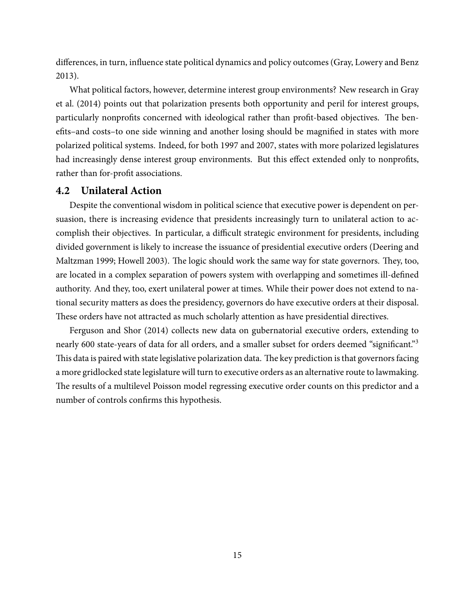differences, in turn, influence state political dynamics and policy outcomes [\(Gray, Lowery and Benz](#page-17-10) [2013\)](#page-17-10).

What political factors, however, determine interest group environments? New research in [Gray](#page-17-11) [et al.](#page-17-11) [\(2014](#page-17-11)) points out that polarization presents both opportunity and peril for interest groups, particularly nonprofits concerned with ideological rather than profit-based objectives. The benefits–and costs–to one side winning and another losing should be magnified in states with more polarized political systems. Indeed, for both 1997 and 2007, states with more polarized legislatures had increasingly dense interest group environments. But this effect extended only to nonprofits, rather than for-profit associations.

#### **4.2 Unilateral Action**

Despite the conventional wisdom in political science that executive power is dependent on persuasion, there is increasing evidence that presidents increasingly turn to unilateral action to accomplish their objectives. In particular, a difficult strategic environment for presidents, including divided government is likely to increase the issuance of presidential executive orders [\(Deering and](#page-17-12) [Maltzman](#page-17-12) [1999;](#page-17-12) [Howell](#page-17-13) [2003\)](#page-17-13). The logic should work the same way for state governors. They, too, are located in a complex separation of powers system with overlapping and sometimes ill-defined authority. And they, too, exert unilateral power at times. While their power does not extend to national security matters as does the presidency, governors do have executive orders at their disposal. These orders have not attracted as much scholarly attention as have presidential directives.

[Ferguson and Shor](#page-17-14) [\(2014\)](#page-17-14) collects new data on gubernatorial executive orders, extending to nearly 600 state-years of data for all orders, and a smaller subset for orders deemed "significant."<sup>3</sup> This data is paired with state legislative polarization data. The key prediction is that governors facing a more gridlocked state legislature will turn to executive orders as an alternative route to lawmaking. The results of a multilevel Poisson model regressing executive order counts on this predictor and a number of controls confirms this hypothesis.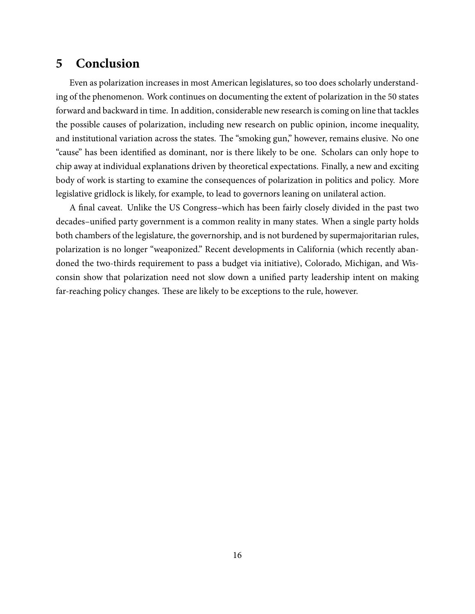# **5 Conclusion**

Even as polarization increases in most American legislatures, so too does scholarly understanding of the phenomenon. Work continues on documenting the extent of polarization in the 50 states forward and backward in time. In addition, considerable new research is coming on line that tackles the possible causes of polarization, including new research on public opinion, income inequality, and institutional variation across the states. The "smoking gun," however, remains elusive. No one "cause" has been identified as dominant, nor is there likely to be one. Scholars can only hope to chip away at individual explanations driven by theoretical expectations. Finally, a new and exciting body of work is starting to examine the consequences of polarization in politics and policy. More legislative gridlock is likely, for example, to lead to governors leaning on unilateral action.

A final caveat. Unlike the US Congress–which has been fairly closely divided in the past two decades–unified party government is a common reality in many states. When a single party holds both chambers of the legislature, the governorship, and is not burdened by supermajoritarian rules, polarization is no longer "weaponized." Recent developments in California (which recently abandoned the two-thirds requirement to pass a budget via initiative), Colorado, Michigan, and Wisconsin show that polarization need not slow down a unified party leadership intent on making far-reaching policy changes. These are likely to be exceptions to the rule, however.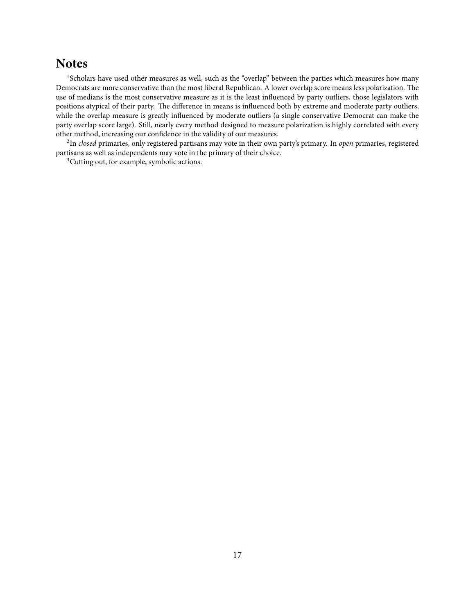### **Notes**

<sup>1</sup>Scholars have used other measures as well, such as the "overlap" between the parties which measures how many Democrats are more conservative than the most liberal Republican. A lower overlap score means less polarization. The use of medians is the most conservative measure as it is the least influenced by party outliers, those legislators with positions atypical of their party. The difference in means is influenced both by extreme and moderate party outliers, while the overlap measure is greatly influenced by moderate outliers (a single conservative Democrat can make the party overlap score large). Still, nearly every method designed to measure polarization is highly correlated with every other method, increasing our confidence in the validity of our measures.

2 In *closed* primaries, only registered partisans may vote in their own party's primary. In *open* primaries, registered partisans as well as independents may vote in the primary of their choice.

<sup>3</sup>Cutting out, for example, symbolic actions.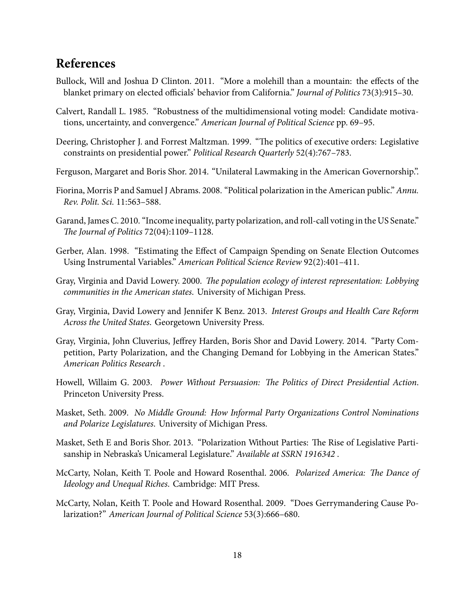# **References**

- <span id="page-17-3"></span>Bullock, Will and Joshua D Clinton. 2011. "More a molehill than a mountain: the effects of the blanket primary on elected officials' behavior from California." *Journal of Politics* 73(3):915–30.
- <span id="page-17-8"></span>Calvert, Randall L. 1985. "Robustness of the multidimensional voting model: Candidate motivations, uncertainty, and convergence." *American Journal of Political Science* pp. 69–95.
- <span id="page-17-12"></span>Deering, Christopher J. and Forrest Maltzman. 1999. "The politics of executive orders: Legislative constraints on presidential power." *Political Research Quarterly* 52(4):767–783.
- <span id="page-17-14"></span>Ferguson, Margaret and Boris Shor. 2014. "Unilateral Lawmaking in the American Governorship.".
- <span id="page-17-6"></span>Fiorina, Morris P and Samuel J Abrams. 2008. "Political polarization in the American public." *Annu. Rev. Polit. Sci.* 11:563–588.
- <span id="page-17-5"></span>Garand, James C. 2010. "Income inequality, party polarization, and roll-call voting in the US Senate." *e Journal of Politics* 72(04):1109–1128.
- <span id="page-17-4"></span>Gerber, Alan. 1998. "Estimating the Effect of Campaign Spending on Senate Election Outcomes Using Instrumental Variables." *American Political Science Review* 92(2):401–411.
- <span id="page-17-9"></span>Gray, Virginia and David Lowery. 2000. *The population ecology of interest representation: Lobbying communities in the American states*. University of Michigan Press.
- <span id="page-17-10"></span>Gray, Virginia, David Lowery and Jennifer K Benz. 2013. *Interest Groups and Health Care Reform Across the United States*. Georgetown University Press.
- <span id="page-17-11"></span>Gray, Virginia, John Cluverius, Jeffrey Harden, Boris Shor and David Lowery. 2014. "Party Competition, Party Polarization, and the Changing Demand for Lobbying in the American States." *American Politics Research* .
- <span id="page-17-13"></span>Howell, Willaim G. 2003. Power Without Persuasion: The Politics of Direct Presidential Action. Princeton University Press.
- <span id="page-17-1"></span>Masket, Seth. 2009. *No Middle Ground: How Informal Party Organizations Control Nominations and Polarize Legislatures*. University of Michigan Press.
- <span id="page-17-2"></span>Masket, Seth E and Boris Shor. 2013. "Polarization Without Parties: The Rise of Legislative Partisanship in Nebraska's Unicameral Legislature." *Available at SSRN 1916342* .
- <span id="page-17-0"></span>McCarty, Nolan, Keith T. Poole and Howard Rosenthal. 2006. *Polarized America: The Dance of Ideology and Unequal Riches*. Cambridge: MIT Press.
- <span id="page-17-7"></span>McCarty, Nolan, Keith T. Poole and Howard Rosenthal. 2009. "Does Gerrymandering Cause Polarization?" *American Journal of Political Science* 53(3):666–680.